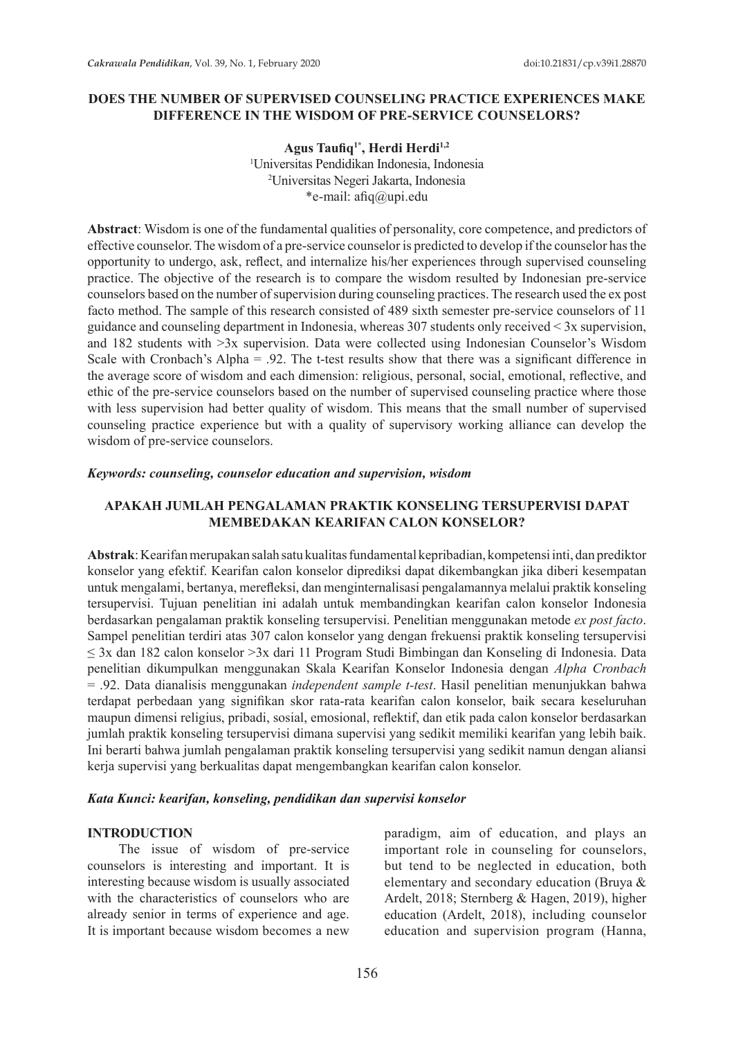## **DOES THE NUMBER OF SUPERVISED COUNSELING PRACTICE EXPERIENCES MAKE DIFFERENCE IN THE WISDOM OF PRE-SERVICE COUNSELORS?**

Agus Taufiq<sup>1\*</sup>, Herdi Herdi<sup>1,2</sup> 1 Universitas Pendidikan Indonesia, Indonesia 2 Universitas Negeri Jakarta, Indonesia \*e-mail: afiq@upi.edu

**Abstract**: Wisdom is one of the fundamental qualities of personality, core competence, and predictors of effective counselor. The wisdom of a pre-service counselor is predicted to develop if the counselor has the opportunity to undergo, ask, reflect, and internalize his/her experiences through supervised counseling practice. The objective of the research is to compare the wisdom resulted by Indonesian pre-service counselors based on the number of supervision during counseling practices. The research used the ex post facto method. The sample of this research consisted of 489 sixth semester pre-service counselors of 11 guidance and counseling department in Indonesia, whereas 307 students only received < 3x supervision, and 182 students with >3x supervision. Data were collected using Indonesian Counselor's Wisdom Scale with Cronbach's Alpha = .92. The t-test results show that there was a significant difference in the average score of wisdom and each dimension: religious, personal, social, emotional, reflective, and ethic of the pre-service counselors based on the number of supervised counseling practice where those with less supervision had better quality of wisdom. This means that the small number of supervised counseling practice experience but with a quality of supervisory working alliance can develop the wisdom of pre-service counselors.

#### *Keywords: counseling, counselor education and supervision, wisdom*

## **APAKAH JUMLAH PENGALAMAN PRAKTIK KONSELING TERSUPERVISI DAPAT MEMBEDAKAN KEARIFAN CALON KONSELOR?**

**Abstrak**: Kearifanmerupakan salah satu kualitas fundamental kepribadian, kompetensi inti, dan prediktor konselor yang efektif. Kearifan calon konselor diprediksi dapat dikembangkan jika diberi kesempatan untuk mengalami, bertanya, merefleksi, dan menginternalisasi pengalamannya melalui praktik konseling tersupervisi. Tujuan penelitian ini adalah untuk membandingkan kearifan calon konselor Indonesia berdasarkan pengalaman praktik konseling tersupervisi. Penelitian menggunakan metode *ex post facto*. Sampel penelitian terdiri atas 307 calon konselor yang dengan frekuensi praktik konseling tersupervisi ≤ 3x dan 182 calon konselor >3x dari 11 Program Studi Bimbingan dan Konseling di Indonesia. Data penelitian dikumpulkan menggunakan Skala Kearifan Konselor Indonesia dengan *Alpha Cronbach* = .92. Data dianalisis menggunakan *independent sample t-test*. Hasil penelitian menunjukkan bahwa terdapat perbedaan yang signifikan skor rata-rata kearifan calon konselor, baik secara keseluruhan maupun dimensi religius, pribadi, sosial, emosional, reflektif, dan etik pada calon konselor berdasarkan jumlah praktik konseling tersupervisi dimana supervisi yang sedikit memiliki kearifan yang lebih baik. Ini berarti bahwa jumlah pengalaman praktik konseling tersupervisi yang sedikit namun dengan aliansi kerja supervisi yang berkualitas dapat mengembangkan kearifan calon konselor.

### *Kata Kunci: kearifan, konseling, pendidikan dan supervisi konselor*

### **INTRODUCTION**

The issue of wisdom of pre-service counselors is interesting and important. It is interesting because wisdom is usually associated with the characteristics of counselors who are already senior in terms of experience and age. It is important because wisdom becomes a new paradigm, aim of education, and plays an important role in counseling for counselors, but tend to be neglected in education, both elementary and secondary education (Bruya & Ardelt, 2018; Sternberg & Hagen, 2019), higher education (Ardelt, 2018), including counselor education and supervision program (Hanna,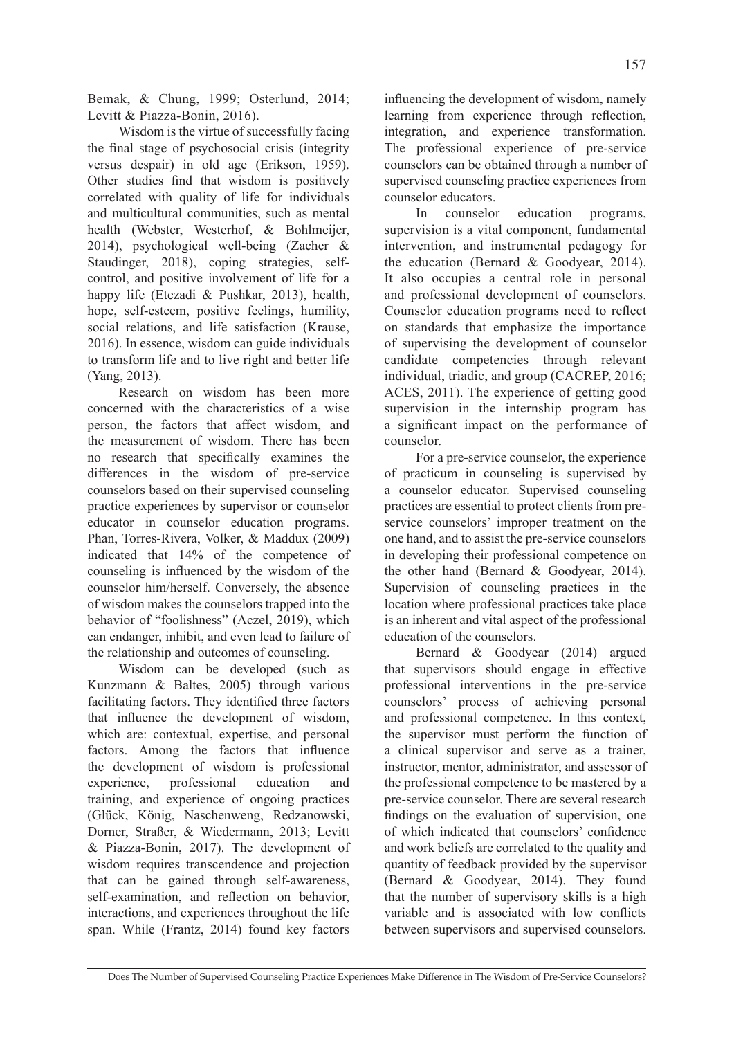Bemak, & Chung, 1999; Osterlund, 2014; Levitt & Piazza-Bonin, 2016).

Wisdom is the virtue of successfully facing the final stage of psychosocial crisis (integrity versus despair) in old age (Erikson, 1959). Other studies find that wisdom is positively correlated with quality of life for individuals and multicultural communities, such as mental health (Webster, Westerhof, & Bohlmeijer, 2014), psychological well-being (Zacher & Staudinger, 2018), coping strategies, selfcontrol, and positive involvement of life for a happy life (Etezadi & Pushkar, 2013), health, hope, self-esteem, positive feelings, humility, social relations, and life satisfaction (Krause, 2016). In essence, wisdom can guide individuals to transform life and to live right and better life (Yang, 2013).

Research on wisdom has been more concerned with the characteristics of a wise person, the factors that affect wisdom, and the measurement of wisdom. There has been no research that specifically examines the differences in the wisdom of pre-service counselors based on their supervised counseling practice experiences by supervisor or counselor educator in counselor education programs. Phan, Torres-Rivera, Volker, & Maddux (2009) indicated that 14% of the competence of counseling is influenced by the wisdom of the counselor him/herself. Conversely, the absence of wisdom makes the counselors trapped into the behavior of "foolishness" (Aczel, 2019), which can endanger, inhibit, and even lead to failure of the relationship and outcomes of counseling.

Wisdom can be developed (such as Kunzmann & Baltes, 2005) through various facilitating factors. They identified three factors that influence the development of wisdom, which are: contextual, expertise, and personal factors. Among the factors that influence the development of wisdom is professional experience, professional education and training, and experience of ongoing practices (Glück, König, Naschenweng, Redzanowski, Dorner, Straßer, & Wiedermann, 2013; Levitt & Piazza-Bonin, 2017). The development of wisdom requires transcendence and projection that can be gained through self-awareness, self-examination, and reflection on behavior, interactions, and experiences throughout the life span. While (Frantz, 2014) found key factors influencing the development of wisdom, namely learning from experience through reflection, integration, and experience transformation. The professional experience of pre-service counselors can be obtained through a number of supervised counseling practice experiences from counselor educators.

In counselor education programs, supervision is a vital component, fundamental intervention, and instrumental pedagogy for the education (Bernard & Goodyear, 2014). It also occupies a central role in personal and professional development of counselors. Counselor education programs need to reflect on standards that emphasize the importance of supervising the development of counselor candidate competencies through relevant individual, triadic, and group (CACREP, 2016; ACES, 2011). The experience of getting good supervision in the internship program has a significant impact on the performance of counselor.

For a pre-service counselor, the experience of practicum in counseling is supervised by a counselor educator. Supervised counseling practices are essential to protect clients from preservice counselors' improper treatment on the one hand, and to assist the pre-service counselors in developing their professional competence on the other hand (Bernard & Goodyear, 2014). Supervision of counseling practices in the location where professional practices take place is an inherent and vital aspect of the professional education of the counselors.

Bernard & Goodyear (2014) argued that supervisors should engage in effective professional interventions in the pre-service counselors' process of achieving personal and professional competence. In this context, the supervisor must perform the function of a clinical supervisor and serve as a trainer, instructor, mentor, administrator, and assessor of the professional competence to be mastered by a pre-service counselor. There are several research findings on the evaluation of supervision, one of which indicated that counselors' confidence and work beliefs are correlated to the quality and quantity of feedback provided by the supervisor (Bernard & Goodyear, 2014). They found that the number of supervisory skills is a high variable and is associated with low conflicts between supervisors and supervised counselors.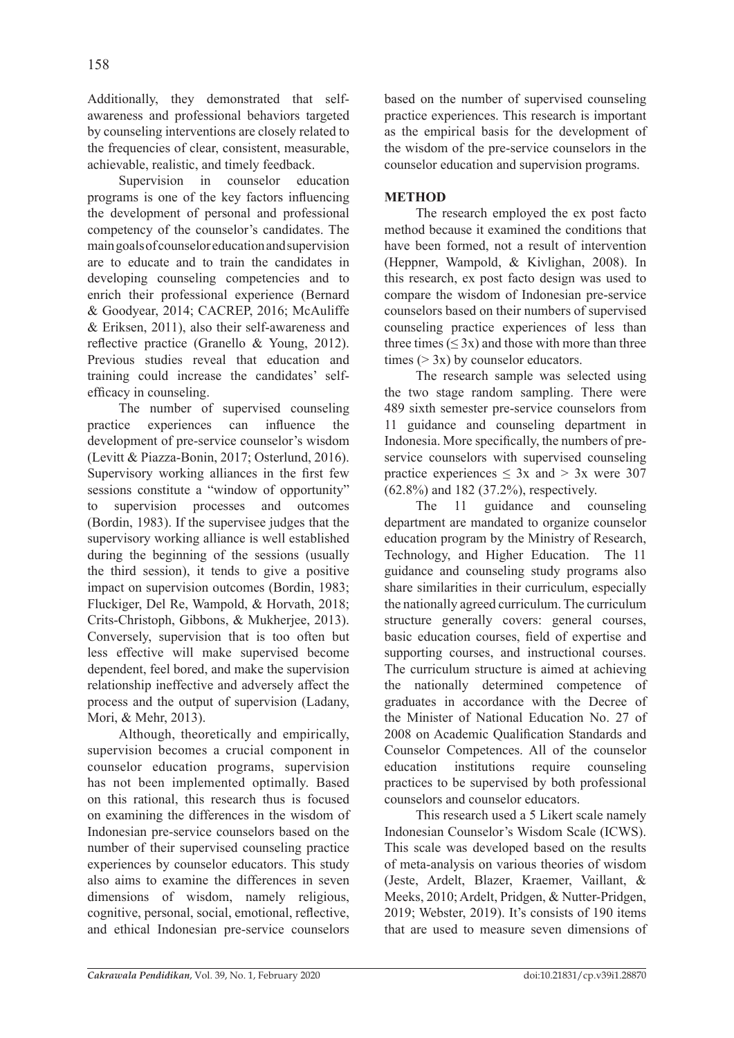Additionally, they demonstrated that selfawareness and professional behaviors targeted by counseling interventions are closely related to the frequencies of clear, consistent, measurable, achievable, realistic, and timely feedback.

Supervision in counselor education programs is one of the key factors influencing the development of personal and professional competency of the counselor's candidates. The main goals of counselor education and supervision are to educate and to train the candidates in developing counseling competencies and to enrich their professional experience (Bernard & Goodyear, 2014; CACREP, 2016; McAuliffe & Eriksen, 2011), also their self-awareness and reflective practice (Granello & Young, 2012). Previous studies reveal that education and training could increase the candidates' selfefficacy in counseling.

The number of supervised counseling practice experiences can influence the development of pre-service counselor's wisdom (Levitt & Piazza-Bonin, 2017; Osterlund, 2016). Supervisory working alliances in the first few sessions constitute a "window of opportunity" to supervision processes and outcomes (Bordin, 1983). If the supervisee judges that the supervisory working alliance is well established during the beginning of the sessions (usually the third session), it tends to give a positive impact on supervision outcomes (Bordin, 1983; Fluckiger, Del Re, Wampold, & Horvath, 2018; Crits-Christoph, Gibbons, & Mukherjee, 2013). Conversely, supervision that is too often but less effective will make supervised become dependent, feel bored, and make the supervision relationship ineffective and adversely affect the process and the output of supervision (Ladany, Mori, & Mehr, 2013).

Although, theoretically and empirically, supervision becomes a crucial component in counselor education programs, supervision has not been implemented optimally. Based on this rational, this research thus is focused on examining the differences in the wisdom of Indonesian pre-service counselors based on the number of their supervised counseling practice experiences by counselor educators. This study also aims to examine the differences in seven dimensions of wisdom, namely religious, cognitive, personal, social, emotional, reflective, and ethical Indonesian pre-service counselors based on the number of supervised counseling practice experiences. This research is important as the empirical basis for the development of the wisdom of the pre-service counselors in the counselor education and supervision programs.

# **METHOD**

The research employed the ex post facto method because it examined the conditions that have been formed, not a result of intervention (Heppner, Wampold, & Kivlighan, 2008). In this research, ex post facto design was used to compare the wisdom of Indonesian pre-service counselors based on their numbers of supervised counseling practice experiences of less than three times  $(\leq 3x)$  and those with more than three times  $(> 3x)$  by counselor educators.

The research sample was selected using the two stage random sampling. There were 489 sixth semester pre-service counselors from 11 guidance and counseling department in Indonesia. More specifically, the numbers of preservice counselors with supervised counseling practice experiences  $\leq 3x$  and  $> 3x$  were 307 (62.8%) and 182 (37.2%), respectively.

The 11 guidance and counseling department are mandated to organize counselor education program by the Ministry of Research, Technology, and Higher Education. The 11 guidance and counseling study programs also share similarities in their curriculum, especially the nationally agreed curriculum. The curriculum structure generally covers: general courses, basic education courses, field of expertise and supporting courses, and instructional courses. The curriculum structure is aimed at achieving the nationally determined competence of graduates in accordance with the Decree of the Minister of National Education No. 27 of 2008 on Academic Qualification Standards and Counselor Competences. All of the counselor education institutions require counseling practices to be supervised by both professional counselors and counselor educators.

This research used a 5 Likert scale namely Indonesian Counselor's Wisdom Scale (ICWS). This scale was developed based on the results of meta-analysis on various theories of wisdom (Jeste, Ardelt, Blazer, Kraemer, Vaillant, & Meeks, 2010; Ardelt, Pridgen, & Nutter-Pridgen, 2019; Webster, 2019). It's consists of 190 items that are used to measure seven dimensions of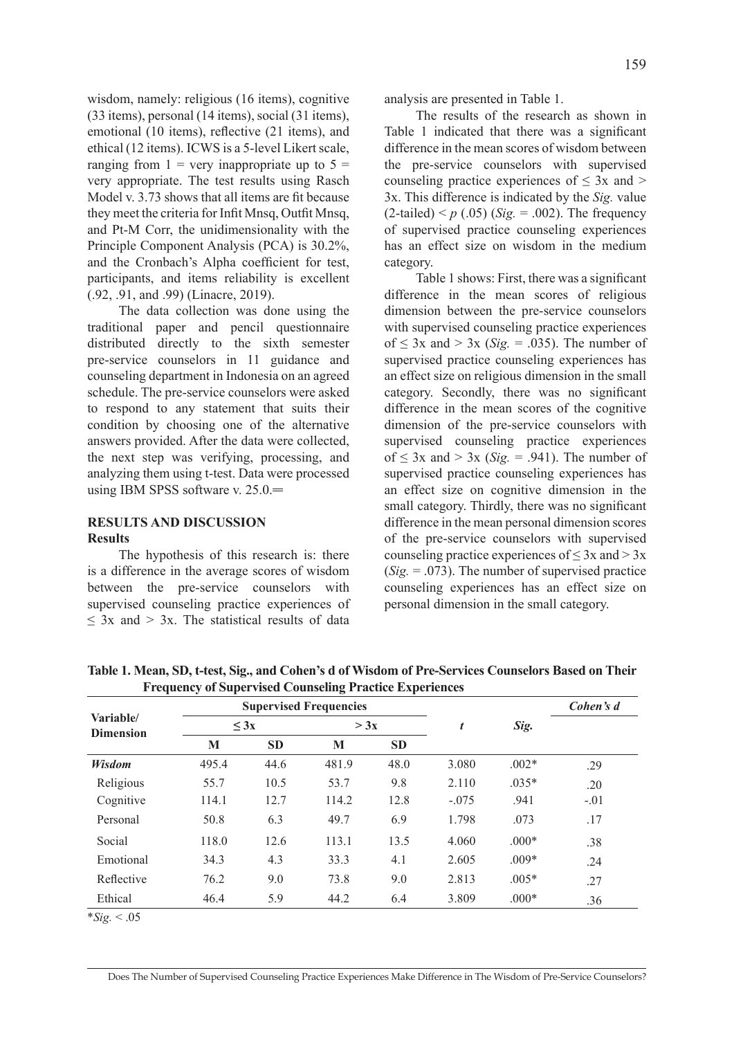wisdom, namely: religious (16 items), cognitive (33 items), personal (14 items), social (31 items), emotional (10 items), reflective (21 items), and ethical (12 items). ICWS is a 5-level Likert scale, ranging from  $1 = \text{very inappropriate up to } 5 =$ very appropriate. The test results using Rasch Model v. 3.73 shows that all items are fit because they meet the criteria for Infit Mnsq, Outfit Mnsq, and Pt-M Corr, the unidimensionality with the Principle Component Analysis (PCA) is 30.2%, and the Cronbach's Alpha coefficient for test, participants, and items reliability is excellent (.92, .91, and .99) (Linacre, 2019).

The data collection was done using the traditional paper and pencil questionnaire distributed directly to the sixth semester pre-service counselors in 11 guidance and counseling department in Indonesia on an agreed schedule. The pre-service counselors were asked to respond to any statement that suits their condition by choosing one of the alternative answers provided. After the data were collected, the next step was verifying, processing, and analyzing them using t-test. Data were processed using IBM SPSS software v. 25.0.

# **RESULTS AND DISCUSSION**

### **Results**

The hypothesis of this research is: there is a difference in the average scores of wisdom between the pre-service counselors with supervised counseling practice experiences of  $\leq$  3x and  $>$  3x. The statistical results of data analysis are presented in Table 1.

The results of the research as shown in Table 1 indicated that there was a significant difference in the mean scores of wisdom between the pre-service counselors with supervised counseling practice experiences of  $\leq$  3x and  $>$ 3x. This difference is indicated by the *Sig.* value  $(2\t -tailed) < p(.05)$  (*Sig.* = .002). The frequency of supervised practice counseling experiences has an effect size on wisdom in the medium category.

Table 1 shows: First, there was a significant difference in the mean scores of religious dimension between the pre-service counselors with supervised counseling practice experiences of  $\leq$  3x and  $>$  3x (*Sig.* = .035). The number of supervised practice counseling experiences has an effect size on religious dimension in the small category. Secondly, there was no significant difference in the mean scores of the cognitive dimension of the pre-service counselors with supervised counseling practice experiences of  $\leq$  3x and  $>$  3x (*Sig.* = .941). The number of supervised practice counseling experiences has an effect size on cognitive dimension in the small category. Thirdly, there was no significant difference in the mean personal dimension scores of the pre-service counselors with supervised counseling practice experiences of  $\leq 3x$  and  $> 3x$  $(Sig. = .073)$ . The number of supervised practice counseling experiences has an effect size on personal dimension in the small category.

| Variable/<br><b>Dimension</b> | <b>Supervised Frequencies</b> |           |       |           |         |         | Cohen's d |
|-------------------------------|-------------------------------|-----------|-------|-----------|---------|---------|-----------|
|                               | $<$ 3x                        |           | > 3x  |           | t       | Sig.    |           |
|                               | M                             | <b>SD</b> | M     | <b>SD</b> |         |         |           |
| Wisdom                        | 495.4                         | 44.6      | 481.9 | 48.0      | 3.080   | $.002*$ | .29       |
| Religious                     | 55.7                          | 10.5      | 53.7  | 9.8       | 2.110   | $.035*$ | .20       |
| Cognitive                     | 114.1                         | 12.7      | 114.2 | 12.8      | $-.075$ | .941    | $-.01$    |
| Personal                      | 50.8                          | 6.3       | 49.7  | 6.9       | 1.798   | .073    | .17       |
| Social                        | 118.0                         | 12.6      | 113.1 | 13.5      | 4.060   | $.000*$ | .38       |
| Emotional                     | 34.3                          | 4.3       | 33.3  | 4.1       | 2.605   | $.009*$ | .24       |
| Reflective                    | 76.2                          | 9.0       | 73.8  | 9.0       | 2.813   | $.005*$ | .27       |
| Ethical                       | 46.4                          | 5.9       | 44.2  | 6.4       | 3.809   | $.000*$ | .36       |

**Table 1. Mean, SD, t-test, Sig., and Cohen's d of Wisdom of Pre-Services Counselors Based on Their Frequency of Supervised Counseling Practice Experiences**

 $*Sig. < .05$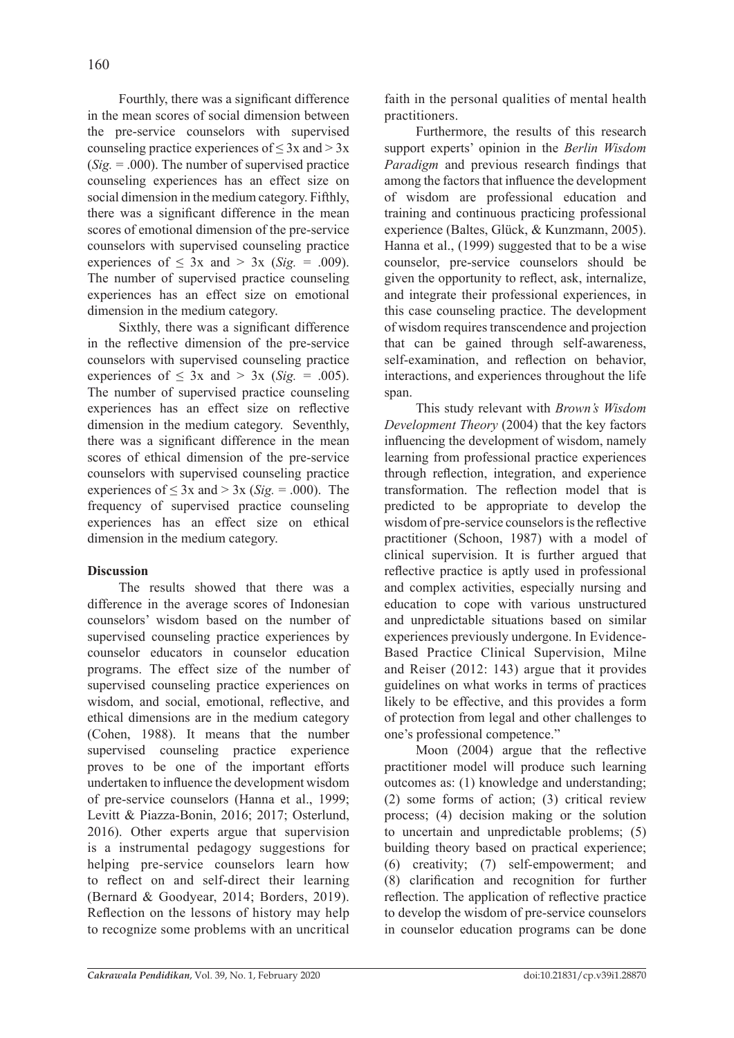Fourthly, there was a significant difference in the mean scores of social dimension between the pre-service counselors with supervised counseling practice experiences of  $\leq 3x$  and  $> 3x$  $(Sig. = .000)$ . The number of supervised practice counseling experiences has an effect size on social dimension in the medium category. Fifthly, there was a significant difference in the mean scores of emotional dimension of the pre-service counselors with supervised counseling practice experiences of  $\leq 3x$  and  $> 3x$  (*Sig.* = .009). The number of supervised practice counseling experiences has an effect size on emotional dimension in the medium category.

Sixthly, there was a significant difference in the reflective dimension of the pre-service counselors with supervised counseling practice experiences of  $\leq$  3x and  $>$  3x (*Sig.* = .005). The number of supervised practice counseling experiences has an effect size on reflective dimension in the medium category. Seventhly, there was a significant difference in the mean scores of ethical dimension of the pre-service counselors with supervised counseling practice experiences of  $\leq 3x$  and  $> 3x$  (*Sig.* = .000). The frequency of supervised practice counseling experiences has an effect size on ethical dimension in the medium category.

### **Discussion**

The results showed that there was a difference in the average scores of Indonesian counselors' wisdom based on the number of supervised counseling practice experiences by counselor educators in counselor education programs. The effect size of the number of supervised counseling practice experiences on wisdom, and social, emotional, reflective, and ethical dimensions are in the medium category (Cohen, 1988). It means that the number supervised counseling practice experience proves to be one of the important efforts undertaken to influence the development wisdom of pre-service counselors (Hanna et al., 1999; Levitt & Piazza-Bonin, 2016; 2017; Osterlund, 2016). Other experts argue that supervision is a instrumental pedagogy suggestions for helping pre-service counselors learn how to reflect on and self-direct their learning (Bernard & Goodyear, 2014; Borders, 2019). Reflection on the lessons of history may help to recognize some problems with an uncritical faith in the personal qualities of mental health practitioners.

Furthermore, the results of this research support experts' opinion in the *Berlin Wisdom Paradigm* and previous research findings that among the factors that influence the development of wisdom are professional education and training and continuous practicing professional experience (Baltes, Glück, & Kunzmann, 2005). Hanna et al., (1999) suggested that to be a wise counselor, pre-service counselors should be given the opportunity to reflect, ask, internalize, and integrate their professional experiences, in this case counseling practice. The development of wisdom requires transcendence and projection that can be gained through self-awareness, self-examination, and reflection on behavior, interactions, and experiences throughout the life span.

This study relevant with *Brown's Wisdom Development Theory* (2004) that the key factors influencing the development of wisdom, namely learning from professional practice experiences through reflection, integration, and experience transformation. The reflection model that is predicted to be appropriate to develop the wisdom of pre-service counselors is the reflective practitioner (Schoon, 1987) with a model of clinical supervision. It is further argued that reflective practice is aptly used in professional and complex activities, especially nursing and education to cope with various unstructured and unpredictable situations based on similar experiences previously undergone. In Evidence-Based Practice Clinical Supervision, Milne and Reiser (2012: 143) argue that it provides guidelines on what works in terms of practices likely to be effective, and this provides a form of protection from legal and other challenges to one's professional competence."

Moon (2004) argue that the reflective practitioner model will produce such learning outcomes as: (1) knowledge and understanding; (2) some forms of action; (3) critical review process; (4) decision making or the solution to uncertain and unpredictable problems; (5) building theory based on practical experience; (6) creativity; (7) self-empowerment; and (8) clarification and recognition for further reflection. The application of reflective practice to develop the wisdom of pre-service counselors in counselor education programs can be done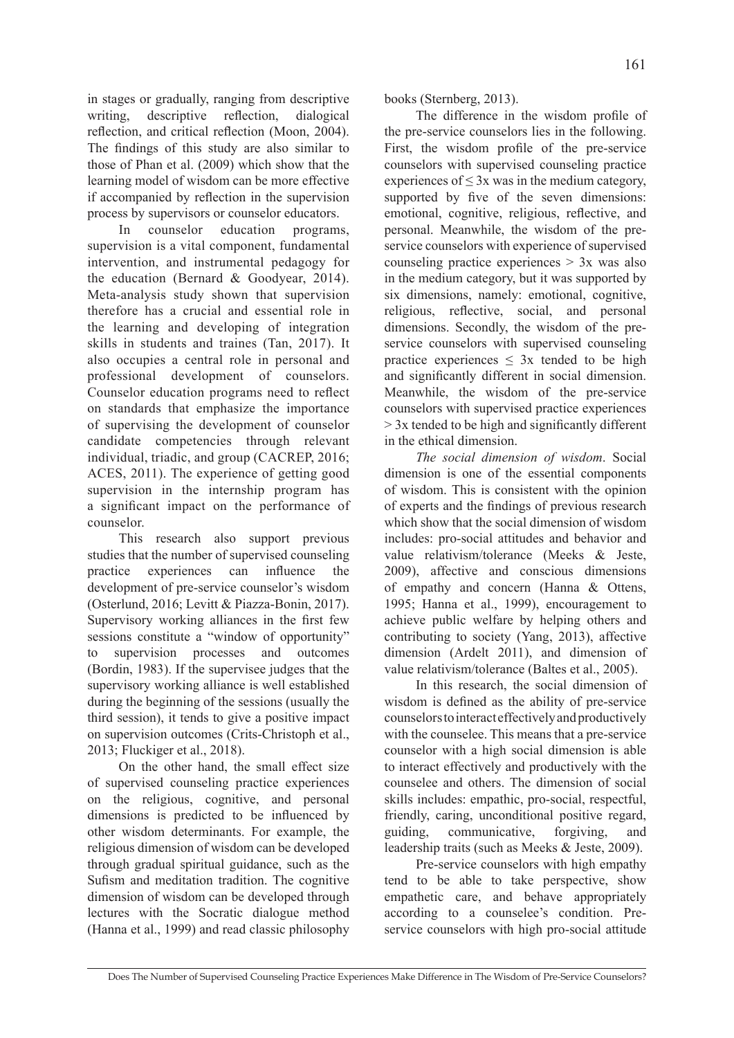in stages or gradually, ranging from descriptive writing, descriptive reflection, dialogical reflection, and critical reflection (Moon, 2004). The findings of this study are also similar to those of Phan et al. (2009) which show that the learning model of wisdom can be more effective if accompanied by reflection in the supervision process by supervisors or counselor educators.

In counselor education programs, supervision is a vital component, fundamental intervention, and instrumental pedagogy for the education (Bernard & Goodyear, 2014). Meta-analysis study shown that supervision therefore has a crucial and essential role in the learning and developing of integration skills in students and traines (Tan, 2017). It also occupies a central role in personal and professional development of counselors. Counselor education programs need to reflect on standards that emphasize the importance of supervising the development of counselor candidate competencies through relevant individual, triadic, and group (CACREP, 2016; ACES, 2011). The experience of getting good supervision in the internship program has a significant impact on the performance of counselor.

This research also support previous studies that the number of supervised counseling practice experiences can influence the development of pre-service counselor's wisdom (Osterlund, 2016; Levitt & Piazza-Bonin, 2017). Supervisory working alliances in the first few sessions constitute a "window of opportunity" to supervision processes and outcomes (Bordin, 1983). If the supervisee judges that the supervisory working alliance is well established during the beginning of the sessions (usually the third session), it tends to give a positive impact on supervision outcomes (Crits-Christoph et al., 2013; Fluckiger et al., 2018).

On the other hand, the small effect size of supervised counseling practice experiences on the religious, cognitive, and personal dimensions is predicted to be influenced by other wisdom determinants. For example, the religious dimension of wisdom can be developed through gradual spiritual guidance, such as the Sufism and meditation tradition. The cognitive dimension of wisdom can be developed through lectures with the Socratic dialogue method (Hanna et al., 1999) and read classic philosophy books (Sternberg, 2013).

The difference in the wisdom profile of the pre-service counselors lies in the following. First, the wisdom profile of the pre-service counselors with supervised counseling practice experiences of  $\leq$  3x was in the medium category, supported by five of the seven dimensions: emotional, cognitive, religious, reflective, and personal. Meanwhile, the wisdom of the preservice counselors with experience of supervised counseling practice experiences > 3x was also in the medium category, but it was supported by six dimensions, namely: emotional, cognitive, religious, reflective, social, and personal dimensions. Secondly, the wisdom of the preservice counselors with supervised counseling practice experiences  $\leq 3x$  tended to be high and significantly different in social dimension. Meanwhile, the wisdom of the pre-service counselors with supervised practice experiences > 3x tended to be high and significantly different in the ethical dimension.

*The social dimension of wisdom*. Social dimension is one of the essential components of wisdom. This is consistent with the opinion of experts and the findings of previous research which show that the social dimension of wisdom includes: pro-social attitudes and behavior and value relativism/tolerance (Meeks & Jeste, 2009), affective and conscious dimensions of empathy and concern (Hanna & Ottens, 1995; Hanna et al., 1999), encouragement to achieve public welfare by helping others and contributing to society (Yang, 2013), affective dimension (Ardelt 2011), and dimension of value relativism/tolerance (Baltes et al., 2005).

In this research, the social dimension of wisdom is defined as the ability of pre-service counselors to interact effectively and productively with the counselee. This means that a pre-service counselor with a high social dimension is able to interact effectively and productively with the counselee and others. The dimension of social skills includes: empathic, pro-social, respectful, friendly, caring, unconditional positive regard, guiding, communicative, forgiving, and leadership traits (such as Meeks & Jeste, 2009).

Pre-service counselors with high empathy tend to be able to take perspective, show empathetic care, and behave appropriately according to a counselee's condition. Preservice counselors with high pro-social attitude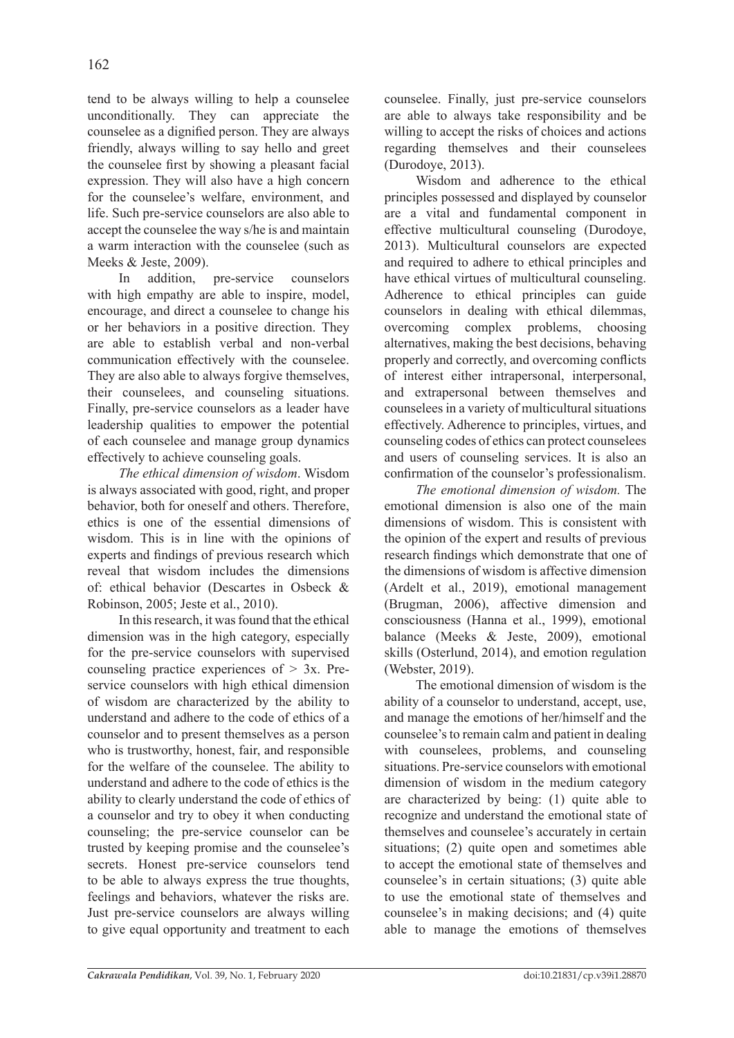tend to be always willing to help a counselee unconditionally. They can appreciate the counselee as a dignified person. They are always friendly, always willing to say hello and greet the counselee first by showing a pleasant facial expression. They will also have a high concern for the counselee's welfare, environment, and life. Such pre-service counselors are also able to accept the counselee the way s/he is and maintain a warm interaction with the counselee (such as Meeks & Jeste, 2009).

In addition, pre-service counselors with high empathy are able to inspire, model, encourage, and direct a counselee to change his or her behaviors in a positive direction. They are able to establish verbal and non-verbal communication effectively with the counselee. They are also able to always forgive themselves, their counselees, and counseling situations. Finally, pre-service counselors as a leader have leadership qualities to empower the potential of each counselee and manage group dynamics effectively to achieve counseling goals.

*The ethical dimension of wisdom*. Wisdom is always associated with good, right, and proper behavior, both for oneself and others. Therefore, ethics is one of the essential dimensions of wisdom. This is in line with the opinions of experts and findings of previous research which reveal that wisdom includes the dimensions of: ethical behavior (Descartes in Osbeck & Robinson, 2005; Jeste et al., 2010).

In this research, it was found that the ethical dimension was in the high category, especially for the pre-service counselors with supervised counseling practice experiences of  $> 3x$ . Preservice counselors with high ethical dimension of wisdom are characterized by the ability to understand and adhere to the code of ethics of a counselor and to present themselves as a person who is trustworthy, honest, fair, and responsible for the welfare of the counselee. The ability to understand and adhere to the code of ethics is the ability to clearly understand the code of ethics of a counselor and try to obey it when conducting counseling; the pre-service counselor can be trusted by keeping promise and the counselee's secrets. Honest pre-service counselors tend to be able to always express the true thoughts, feelings and behaviors, whatever the risks are. Just pre-service counselors are always willing to give equal opportunity and treatment to each counselee. Finally, just pre-service counselors are able to always take responsibility and be willing to accept the risks of choices and actions regarding themselves and their counselees (Durodoye, 2013).

Wisdom and adherence to the ethical principles possessed and displayed by counselor are a vital and fundamental component in effective multicultural counseling (Durodoye, 2013). Multicultural counselors are expected and required to adhere to ethical principles and have ethical virtues of multicultural counseling. Adherence to ethical principles can guide counselors in dealing with ethical dilemmas, overcoming complex problems, choosing alternatives, making the best decisions, behaving properly and correctly, and overcoming conflicts of interest either intrapersonal, interpersonal, and extrapersonal between themselves and counselees in a variety of multicultural situations effectively. Adherence to principles, virtues, and counseling codes of ethics can protect counselees and users of counseling services. It is also an confirmation of the counselor's professionalism.

*The emotional dimension of wisdom.* The emotional dimension is also one of the main dimensions of wisdom. This is consistent with the opinion of the expert and results of previous research findings which demonstrate that one of the dimensions of wisdom is affective dimension (Ardelt et al., 2019), emotional management (Brugman, 2006), affective dimension and consciousness (Hanna et al., 1999), emotional balance (Meeks & Jeste, 2009), emotional skills (Osterlund, 2014), and emotion regulation (Webster, 2019).

The emotional dimension of wisdom is the ability of a counselor to understand, accept, use, and manage the emotions of her/himself and the counselee's to remain calm and patient in dealing with counselees, problems, and counseling situations. Pre-service counselors with emotional dimension of wisdom in the medium category are characterized by being: (1) quite able to recognize and understand the emotional state of themselves and counselee's accurately in certain situations; (2) quite open and sometimes able to accept the emotional state of themselves and counselee's in certain situations; (3) quite able to use the emotional state of themselves and counselee's in making decisions; and (4) quite able to manage the emotions of themselves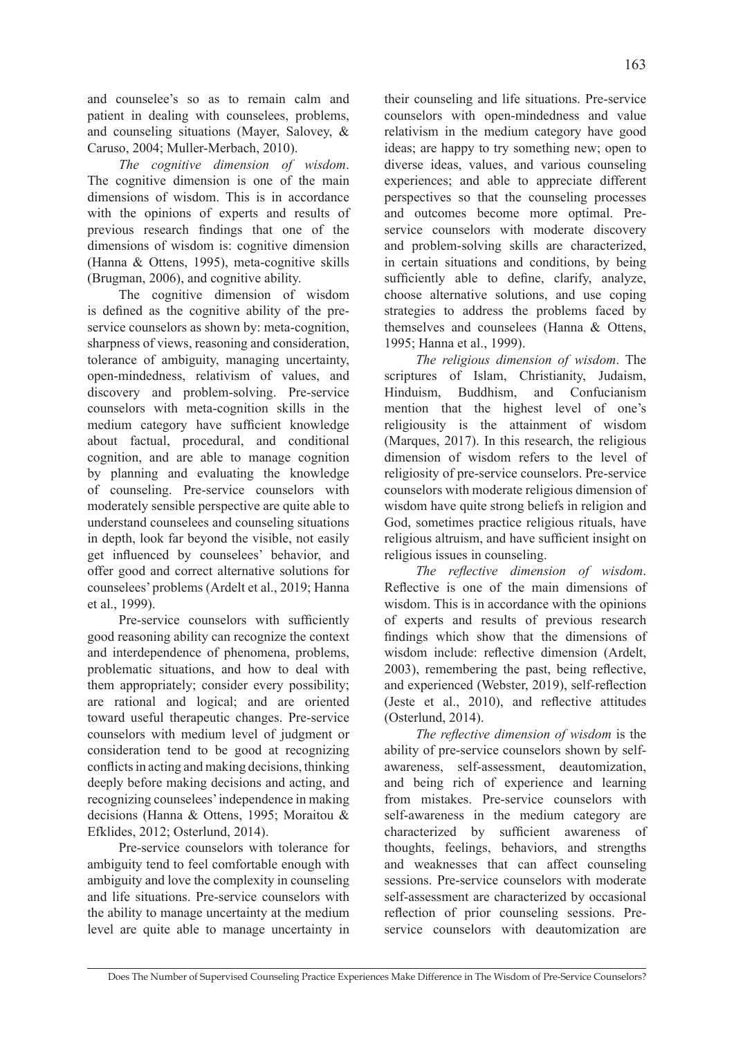and counselee's so as to remain calm and patient in dealing with counselees, problems, and counseling situations (Mayer, Salovey, & Caruso, 2004; Muller-Merbach, 2010).

*The cognitive dimension of wisdom*. The cognitive dimension is one of the main dimensions of wisdom. This is in accordance with the opinions of experts and results of previous research findings that one of the dimensions of wisdom is: cognitive dimension (Hanna & Ottens, 1995), meta-cognitive skills (Brugman, 2006), and cognitive ability.

The cognitive dimension of wisdom is defined as the cognitive ability of the preservice counselors as shown by: meta-cognition, sharpness of views, reasoning and consideration, tolerance of ambiguity, managing uncertainty, open-mindedness, relativism of values, and discovery and problem-solving. Pre-service counselors with meta-cognition skills in the medium category have sufficient knowledge about factual, procedural, and conditional cognition, and are able to manage cognition by planning and evaluating the knowledge of counseling. Pre-service counselors with moderately sensible perspective are quite able to understand counselees and counseling situations in depth, look far beyond the visible, not easily get influenced by counselees' behavior, and offer good and correct alternative solutions for counselees' problems (Ardelt et al., 2019; Hanna et al., 1999).

Pre-service counselors with sufficiently good reasoning ability can recognize the context and interdependence of phenomena, problems, problematic situations, and how to deal with them appropriately; consider every possibility; are rational and logical; and are oriented toward useful therapeutic changes. Pre-service counselors with medium level of judgment or consideration tend to be good at recognizing conflicts in acting and making decisions, thinking deeply before making decisions and acting, and recognizing counselees' independence in making decisions (Hanna & Ottens, 1995; Moraitou & Efklides, 2012; Osterlund, 2014).

Pre-service counselors with tolerance for ambiguity tend to feel comfortable enough with ambiguity and love the complexity in counseling and life situations. Pre-service counselors with the ability to manage uncertainty at the medium level are quite able to manage uncertainty in their counseling and life situations. Pre-service counselors with open-mindedness and value relativism in the medium category have good ideas; are happy to try something new; open to diverse ideas, values, and various counseling experiences; and able to appreciate different perspectives so that the counseling processes and outcomes become more optimal. Preservice counselors with moderate discovery and problem-solving skills are characterized, in certain situations and conditions, by being sufficiently able to define, clarify, analyze, choose alternative solutions, and use coping strategies to address the problems faced by themselves and counselees (Hanna & Ottens, 1995; Hanna et al., 1999).

*The religious dimension of wisdom*. The scriptures of Islam, Christianity, Judaism, Hinduism, Buddhism, and Confucianism mention that the highest level of one's religiousity is the attainment of wisdom (Marques, 2017). In this research, the religious dimension of wisdom refers to the level of religiosity of pre-service counselors. Pre-service counselors with moderate religious dimension of wisdom have quite strong beliefs in religion and God, sometimes practice religious rituals, have religious altruism, and have sufficient insight on religious issues in counseling.

*The reflective dimension of wisdom*. Reflective is one of the main dimensions of wisdom. This is in accordance with the opinions of experts and results of previous research findings which show that the dimensions of wisdom include: reflective dimension (Ardelt, 2003), remembering the past, being reflective, and experienced (Webster, 2019), self-reflection (Jeste et al., 2010), and reflective attitudes (Osterlund, 2014).

*The reflective dimension of wisdom* is the ability of pre-service counselors shown by selfawareness, self-assessment, deautomization, and being rich of experience and learning from mistakes. Pre-service counselors with self-awareness in the medium category are characterized by sufficient awareness of thoughts, feelings, behaviors, and strengths and weaknesses that can affect counseling sessions. Pre-service counselors with moderate self-assessment are characterized by occasional reflection of prior counseling sessions. Preservice counselors with deautomization are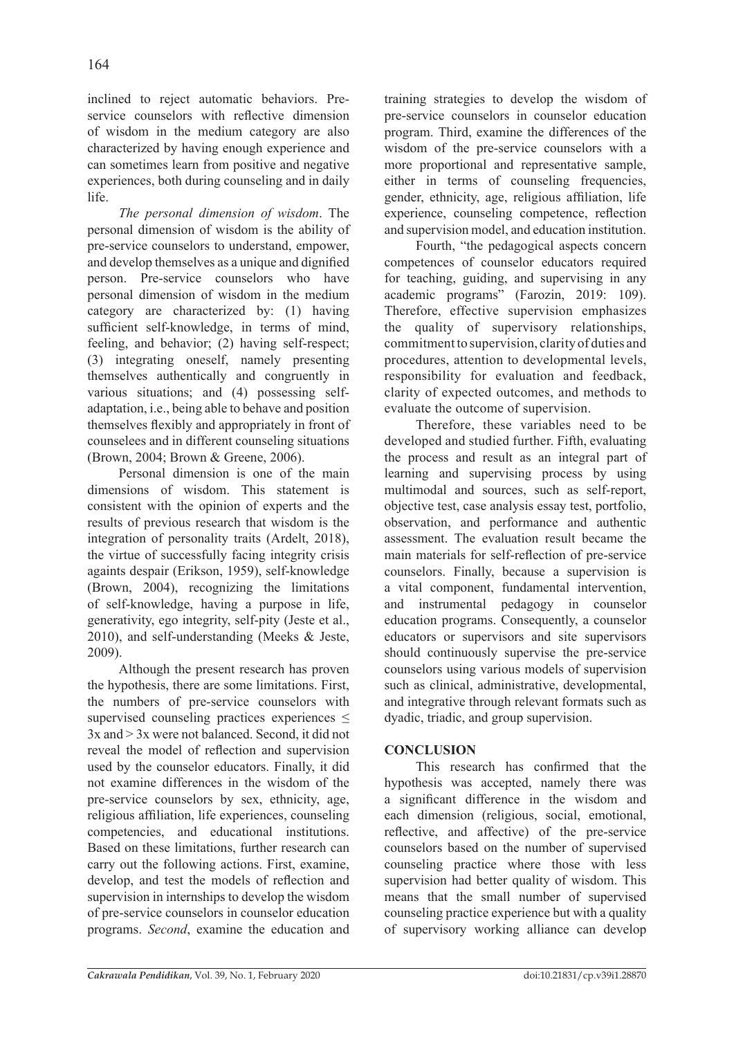inclined to reject automatic behaviors. Preservice counselors with reflective dimension of wisdom in the medium category are also characterized by having enough experience and can sometimes learn from positive and negative experiences, both during counseling and in daily life.

*The personal dimension of wisdom*. The personal dimension of wisdom is the ability of pre-service counselors to understand, empower, and develop themselves as a unique and dignified person. Pre-service counselors who have personal dimension of wisdom in the medium category are characterized by: (1) having sufficient self-knowledge, in terms of mind, feeling, and behavior; (2) having self-respect; (3) integrating oneself, namely presenting themselves authentically and congruently in various situations; and (4) possessing selfadaptation, i.e., being able to behave and position themselves flexibly and appropriately in front of counselees and in different counseling situations (Brown, 2004; Brown & Greene, 2006).

Personal dimension is one of the main dimensions of wisdom. This statement is consistent with the opinion of experts and the results of previous research that wisdom is the integration of personality traits (Ardelt, 2018), the virtue of successfully facing integrity crisis againts despair (Erikson, 1959), self-knowledge (Brown, 2004), recognizing the limitations of self-knowledge, having a purpose in life, generativity, ego integrity, self-pity (Jeste et al., 2010), and self-understanding (Meeks & Jeste, 2009).

Although the present research has proven the hypothesis, there are some limitations. First, the numbers of pre-service counselors with supervised counseling practices experiences  $\leq$ 3x and > 3x were not balanced. Second, it did not reveal the model of reflection and supervision used by the counselor educators. Finally, it did not examine differences in the wisdom of the pre-service counselors by sex, ethnicity, age, religious affiliation, life experiences, counseling competencies, and educational institutions. Based on these limitations, further research can carry out the following actions. First, examine, develop, and test the models of reflection and supervision in internships to develop the wisdom of pre-service counselors in counselor education programs. *Second*, examine the education and training strategies to develop the wisdom of pre-service counselors in counselor education program. Third, examine the differences of the wisdom of the pre-service counselors with a more proportional and representative sample, either in terms of counseling frequencies, gender, ethnicity, age, religious affiliation, life experience, counseling competence, reflection and supervision model, and education institution.

Fourth, "the pedagogical aspects concern competences of counselor educators required for teaching, guiding, and supervising in any academic programs" (Farozin, 2019: 109). Therefore, effective supervision emphasizes the quality of supervisory relationships, commitment to supervision, clarity of duties and procedures, attention to developmental levels, responsibility for evaluation and feedback, clarity of expected outcomes, and methods to evaluate the outcome of supervision.

Therefore, these variables need to be developed and studied further. Fifth, evaluating the process and result as an integral part of learning and supervising process by using multimodal and sources, such as self-report, objective test, case analysis essay test, portfolio, observation, and performance and authentic assessment. The evaluation result became the main materials for self-reflection of pre-service counselors. Finally, because a supervision is a vital component, fundamental intervention, and instrumental pedagogy in counselor education programs. Consequently, a counselor educators or supervisors and site supervisors should continuously supervise the pre-service counselors using various models of supervision such as clinical, administrative, developmental, and integrative through relevant formats such as dyadic, triadic, and group supervision.

# **CONCLUSION**

This research has confirmed that the hypothesis was accepted, namely there was a significant difference in the wisdom and each dimension (religious, social, emotional, reflective, and affective) of the pre-service counselors based on the number of supervised counseling practice where those with less supervision had better quality of wisdom. This means that the small number of supervised counseling practice experience but with a quality of supervisory working alliance can develop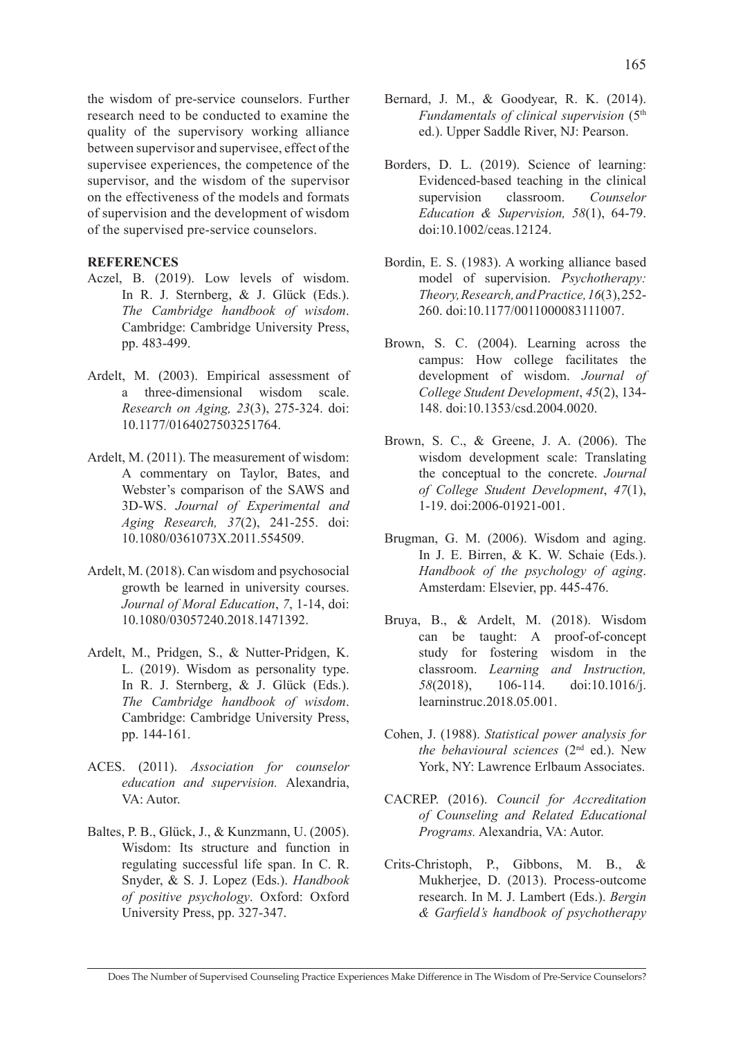the wisdom of pre-service counselors. Further research need to be conducted to examine the quality of the supervisory working alliance between supervisor and supervisee, effect of the supervisee experiences, the competence of the supervisor, and the wisdom of the supervisor on the effectiveness of the models and formats of supervision and the development of wisdom of the supervised pre-service counselors.

## **REFERENCES**

- Aczel, B. (2019). Low levels of wisdom. In R. J. Sternberg, & J. Glück (Eds.). *The Cambridge handbook of wisdom*. Cambridge: Cambridge University Press, pp. 483-499.
- Ardelt, M. (2003). Empirical assessment of a three-dimensional wisdom scale. *Research on Aging, 23*(3), 275-324. doi: 10.1177/0164027503251764.
- Ardelt, M. (2011). The measurement of wisdom: A commentary on Taylor, Bates, and Webster's comparison of the SAWS and 3D-WS. *Journal of Experimental and Aging Research, 37*(2), 241-255. doi: 10.1080/0361073X.2011.554509.
- Ardelt, M. (2018). Can wisdom and psychosocial growth be learned in university courses. *Journal of Moral Education*, *7*, 1-14, doi: 10.1080/03057240.2018.1471392.
- Ardelt, M., Pridgen, S., & Nutter-Pridgen, K. L. (2019). Wisdom as personality type. In R. J. Sternberg, & J. Glück (Eds.). *The Cambridge handbook of wisdom*. Cambridge: Cambridge University Press, pp. 144-161.
- ACES. (2011). *Association for counselor education and supervision.* Alexandria, VA: Autor.
- Baltes, P. B., Glück, J., & Kunzmann, U. (2005). Wisdom: Its structure and function in regulating successful life span. In C. R. Snyder, & S. J. Lopez (Eds.). *Handbook of positive psychology*. Oxford: Oxford University Press, pp. 327-347.
- Bernard, J. M., & Goodyear, R. K. (2014). *Fundamentals of clinical supervision* (5th ed.). Upper Saddle River, NJ: Pearson.
- Borders, D. L. (2019). Science of learning: Evidenced-based teaching in the clinical supervision classroom. *Counselor Education & Supervision, 58*(1), 64-79. doi:10.1002/ceas.12124.
- Bordin, E. S. (1983). A working alliance based model of supervision. *Psychotherapy: Theory, Research, and Practice, 16*(3), 252- 260. doi:10.1177/0011000083111007.
- Brown, S. C. (2004). Learning across the campus: How college facilitates the development of wisdom. *Journal of College Student Development*, *45*(2), 134- 148. doi:10.1353/csd.2004.0020.
- Brown, S. C., & Greene, J. A. (2006). The wisdom development scale: Translating the conceptual to the concrete. *Journal of College Student Development*, *47*(1), 1-19. doi:2006-01921-001.
- Brugman, G. M. (2006). Wisdom and aging. In J. E. Birren, & K. W. Schaie (Eds.). *Handbook of the psychology of aging*. Amsterdam: Elsevier, pp. 445-476.
- Bruya, B., & Ardelt, M. (2018). Wisdom can be taught: A proof-of-concept study for fostering wisdom in the classroom. *Learning and Instruction, 58*(2018), 106-114. doi:10.1016/j. learninstruc.2018.05.001.
- Cohen, J. (1988). *Statistical power analysis for the behavioural sciences* (2nd ed.). New York, NY: Lawrence Erlbaum Associates.
- CACREP. (2016). *Council for Accreditation of Counseling and Related Educational Programs.* Alexandria, VA: Autor.
- Crits-Christoph, P., Gibbons, M. B., & Mukherjee, D. (2013). Process-outcome research. In M. J. Lambert (Eds.). *Bergin & Garfield's handbook of psychotherapy*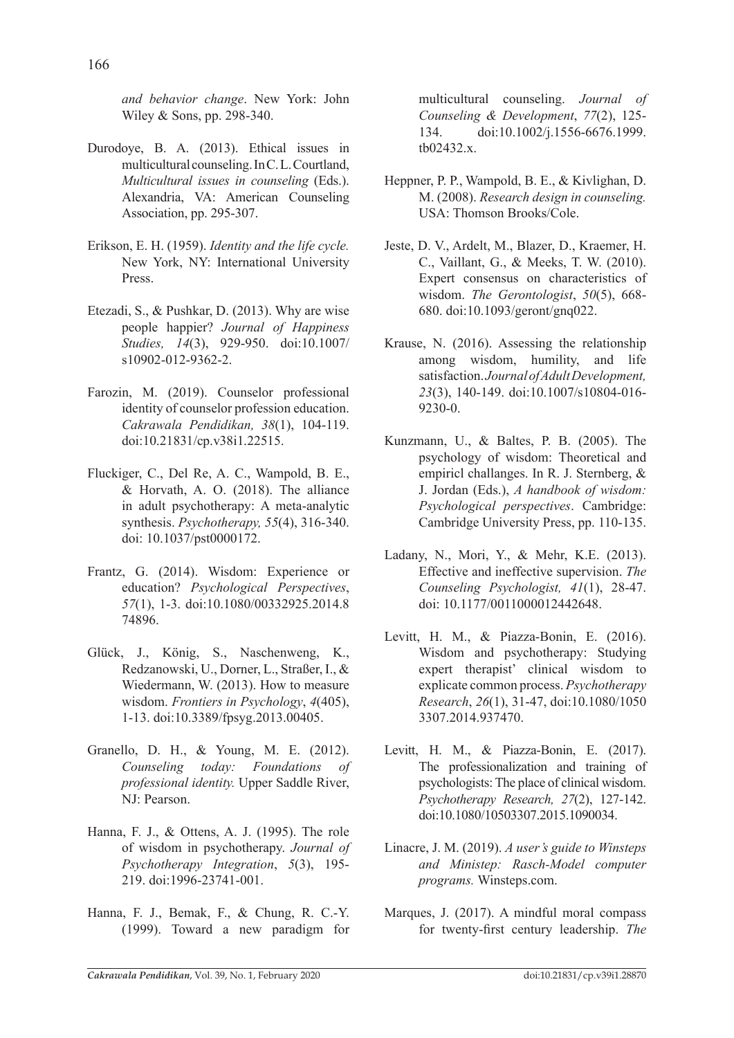*and behavior change*. New York: John Wiley & Sons, pp. 298-340.

- Durodoye, B. A. (2013). Ethical issues in multicultural counseling. In C. L. Courtland, *Multicultural issues in counseling* (Eds.). Alexandria, VA: American Counseling Association, pp. 295-307.
- Erikson, E. H. (1959). *Identity and the life cycle.* New York, NY: International University Press.
- Etezadi, S., & Pushkar, D. (2013). Why are wise people happier? *Journal of Happiness Studies, 14*(3), 929-950. doi:10.1007/ s10902-012-9362-2.
- Farozin, M. (2019). Counselor professional identity of counselor profession education. *Cakrawala Pendidikan, 38*(1), 104-119. doi:10.21831/cp.v38i1.22515.
- Fluckiger, C., Del Re, A. C., Wampold, B. E., & Horvath, A. O. (2018). The alliance in adult psychotherapy: A meta-analytic synthesis. *Psychotherapy, 55*(4), 316-340. doi: 10.1037/pst0000172.
- Frantz, G. (2014). Wisdom: Experience or education? *Psychological Perspectives*, *57*(1), 1-3. doi:10.1080/00332925.2014.8 74896.
- Glück, J., König, S., Naschenweng, K., Redzanowski, U., Dorner, L., Straßer, I., & Wiedermann, W. (2013). How to measure wisdom. *Frontiers in Psychology*, *4*(405), 1-13. doi:10.3389/fpsyg.2013.00405.
- Granello, D. H., & Young, M. E. (2012). *Counseling today: Foundations of professional identity.* Upper Saddle River, NJ: Pearson.
- Hanna, F. J., & Ottens, A. J. (1995). The role of wisdom in psychotherapy. *Journal of Psychotherapy Integration*, *5*(3), 195- 219. doi:1996-23741-001.
- Hanna, F. J., Bemak, F., & Chung, R. C.-Y. (1999). Toward a new paradigm for

multicultural counseling. *Journal of Counseling & Development*, *77*(2), 125- 134. doi:10.1002/j.1556-6676.1999. tb02432.x.

- Heppner, P. P., Wampold, B. E., & Kivlighan, D. M. (2008). *Research design in counseling.* USA: Thomson Brooks/Cole.
- Jeste, D. V., Ardelt, M., Blazer, D., Kraemer, H. C., Vaillant, G., & Meeks, T. W. (2010). Expert consensus on characteristics of wisdom. *The Gerontologist*, *50*(5), 668- 680. doi:10.1093/geront/gnq022.
- Krause, N. (2016). Assessing the relationship among wisdom, humility, and life satisfaction. *Journal of Adult Development, 23*(3), 140-149. doi:10.1007/s10804-016- 9230-0.
- Kunzmann, U., & Baltes, P. B. (2005). The psychology of wisdom: Theoretical and empiricl challanges. In R. J. Sternberg, & J. Jordan (Eds.), *A handbook of wisdom: Psychological perspectives*. Cambridge: Cambridge University Press, pp. 110-135.
- Ladany, N., Mori, Y., & Mehr, K.E. (2013). Effective and ineffective supervision. *The Counseling Psychologist, 41*(1), 28-47. doi: 10.1177/0011000012442648.
- Levitt, H. M., & Piazza-Bonin, E. (2016). Wisdom and psychotherapy: Studying expert therapist' clinical wisdom to explicate common process. *Psychotherapy Research*, *26*(1), 31-47, doi:10.1080/1050 3307.2014.937470.
- Levitt, H. M., & Piazza-Bonin, E. (2017). The professionalization and training of psychologists: The place of clinical wisdom. *Psychotherapy Research, 27*(2), 127-142. doi:10.1080/10503307.2015.1090034.
- Linacre, J. M. (2019). *A user's guide to Winsteps and Ministep: Rasch-Model computer programs.* Winsteps.com.
- Marques, J. (2017). A mindful moral compass for twenty-first century leadership. *The*